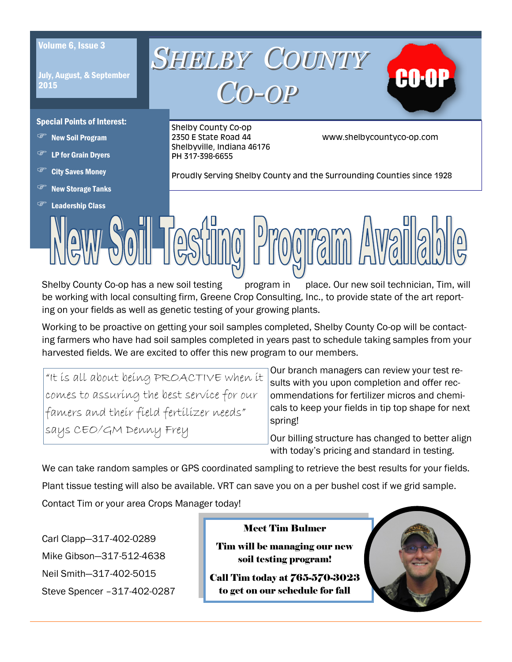# *Nolume 6, Issue 3* **SHELBY** COUNTY

July, August, & September 2015

Special Points of Interest:

- New Soil Program
- LP for Grain Dryers
- City Saves Money
- New Storage Tanks
- Leadership Class

Shelby County Co-op Shelbyville, Indiana 46176 PH 317-398-6655

2350 E State Road 44 www.shelbycountyco-op.com

Proudly Serving Shelby County and the Surrounding Counties since 1928

Shelby County Co-op has a new soil testing program in place. Our new soil technician, Tim, will be working with local consulting firm, Greene Crop Consulting, Inc., to provide state of the art reporting on your fields as well as genetic testing of your growing plants.

 *CO-OP* 

Working to be proactive on getting your soil samples completed, Shelby County Co-op will be contacting farmers who have had soil samples completed in years past to schedule taking samples from your harvested fields. We are excited to offer this new program to our members.

"It is all about being PROACTIVE when it comes to assuring the best service for our famers and their field fertilizer needs" says CEO/GM Denny Frey

 $\Box$   $\Box$ 

Our branch managers can review your test results with you upon completion and offer recommendations for fertilizer micros and chemicals to keep your fields in tip top shape for next spring!

Our billing structure has changed to better align with today's pricing and standard in testing.

We can take random samples or GPS coordinated sampling to retrieve the best results for your fields.

Plant tissue testing will also be available. VRT can save you on a per bushel cost if we grid sample.

Contact Tim or your area Crops Manager today!

Carl Clapp—317-402-0289 Mike Gibson—317-512-4638 Neil Smith—317-402-5015 Steve Spencer –317-402-0287

#### Meet Tim Bulmer

Tim will be managing our new soil testing program!

Call Tim today at 765-570-3023 to get on our schedule for fall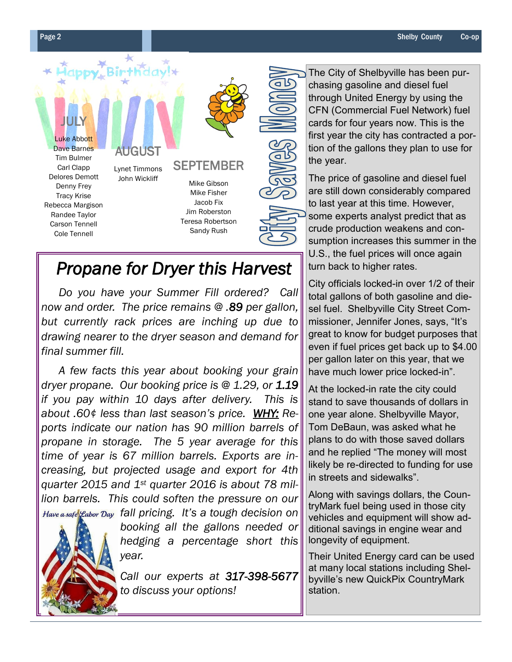

## *Propane for Dryer this Harvest*

 *Do you have your Summer Fill ordered? Call now and order. The price remains @ .89 per gallon, but currently rack prices are inching up due to drawing nearer to the dryer season and demand for final summer fill.*

 *A few facts this year about booking your grain dryer propane. Our booking price is @ 1.29, or 1.19 if you pay within 10 days after delivery. This is about .60¢ less than last season's price. WHY: Reports indicate our nation has 90 million barrels of propane in storage. The 5 year average for this time of year is 67 million barrels. Exports are increasing, but projected usage and export for 4th quarter 2015 and 1st quarter 2016 is about 78 million barrels. This could soften the pressure on our fall pricing. It's a tough decision on* 



*booking all the gallons needed or hedging a percentage short this year.*

*Call our experts at 317-398-5677 to discuss your options!*

The City of Shelbyville has been purchasing gasoline and diesel fuel through United Energy by using the CFN (Commercial Fuel Network) fuel cards for four years now. This is the first year the city has contracted a portion of the gallons they plan to use for the year.

The price of gasoline and diesel fuel are still down considerably compared to last year at this time. However, some experts analyst predict that as crude production weakens and consumption increases this summer in the U.S., the fuel prices will once again turn back to higher rates.

City officials locked-in over 1/2 of their total gallons of both gasoline and diesel fuel. Shelbyville City Street Commissioner, Jennifer Jones, says, "It's great to know for budget purposes that even if fuel prices get back up to \$4.00 per gallon later on this year, that we have much lower price locked-in".

At the locked-in rate the city could stand to save thousands of dollars in one year alone. Shelbyville Mayor, Tom DeBaun, was asked what he plans to do with those saved dollars and he replied "The money will most likely be re-directed to funding for use in streets and sidewalks".

Along with savings dollars, the CountryMark fuel being used in those city vehicles and equipment will show additional savings in engine wear and longevity of equipment.

Their United Energy card can be used at many local stations including Shelbyville's new QuickPix CountryMark station.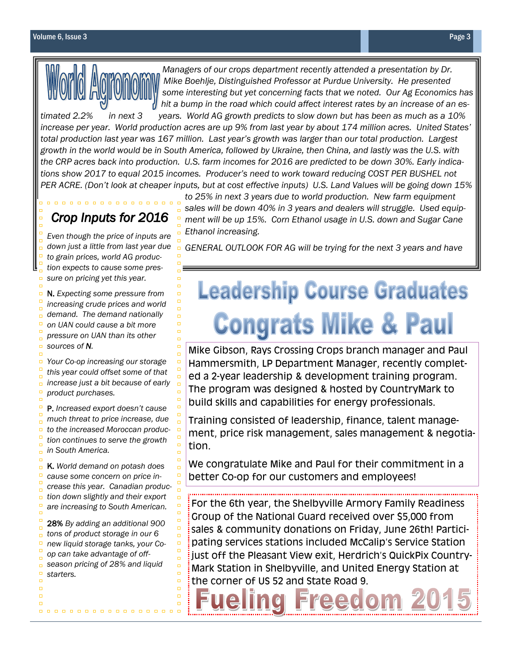*Managers of our crops department recently attended a presentation by Dr. Mike Boehlje, Distinguished Professor at Purdue University. He presented some interesting but yet concerning facts that we noted. Our Ag Economics has hit a bump in the road which could affect interest rates by an increase of an es-*

*timated 2.2% in next 3 years. World AG growth predicts to slow down but has been as much as a 10% increase per year. World production acres are up 9% from last year by about 174 million acres. United States' total production last year was 167 million. Last year's growth was larger than our total production. Largest growth in the world would be in South America, followed by Ukraine, then China, and lastly was the U.S. with the CRP acres back into production. U.S. farm incomes for 2016 are predicted to be down 30%. Early indications show 2017 to equal 2015 incomes. Producer's need to work toward reducing COST PER BUSHEL not PER ACRE. (Don't look at cheaper inputs, but at cost effective inputs) U.S. Land Values will be going down 15%* 

### *Crop Inputs for 2016*

*Even though the price of inputs are down just a little from last year due to grain prices, world AG production expects to cause some pressure on pricing yet this year.*

N. *Expecting some pressure from increasing crude prices and world demand. The demand nationally on UAN could cause a bit more pressure on UAN than its other sources of N.* 

*Your Co-op increasing our storage this year could offset some of that increase just a bit because of early product purchases.*

P. *Increased export doesn't cause much threat to price increase, due to the increased Moroccan production continues to serve the growth in South America.*

K. *World demand on potash does cause some concern on price increase this year. Canadian production down slightly and their export are increasing to South American.* 

28% *By adding an additional 900 tons of product storage in our 6 new liquid storage tanks, your Coop can take advantage of offseason pricing of 28% and liquid starters.* 

0000000000000000

*to 25% in next 3 years due to world production. New farm equipment sales will be down 40% in 3 years and dealers will struggle. Used equipment will be up 15%. Corn Ethanol usage in U.S. down and Sugar Cane Ethanol increasing.* 

*GENERAL OUTLOOK FOR AG will be trying for the next 3 years and have* 

# **Leadership Course Graduates Congrats Mike & Paul**

Mike Gibson, Rays Crossing Crops branch manager and Paul Hammersmith, LP Department Manager, recently completed a 2-year leadership & development training program. The program was designed & hosted by CountryMark to build skills and capabilities for energy professionals.

Training consisted of leadership, finance, talent management, price risk management, sales management & negotiation.

We congratulate Mike and Paul for their commitment in a better Co-op for our customers and employees!

For the 6th year, the Shelbyville Armory Family Readiness Group of the National Guard received over \$5,000 from sales & community donations on Friday, June 26th! Participating services stations included McCalip's Service Station just off the Pleasant View exit, Herdrich's QuickPix Country-Mark Station in Shelbyville, and United Energy Station at the corner of US 52 and State Road 9.